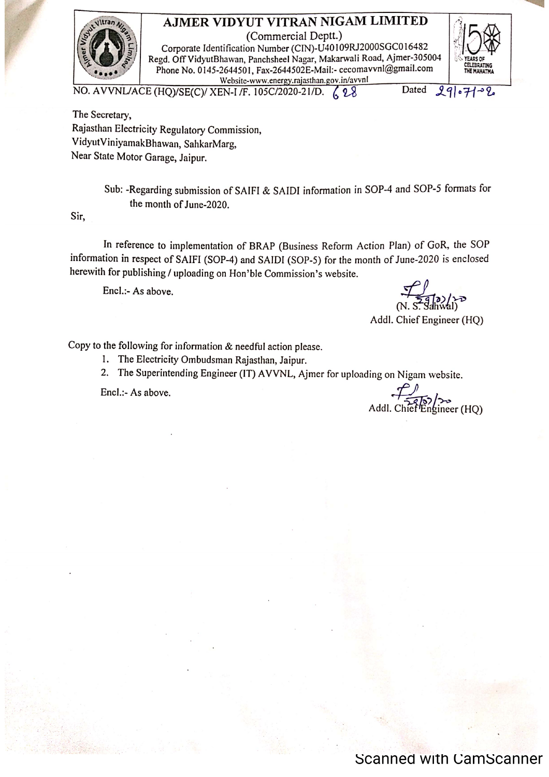

AJMER VIDYUT VITRAN NIGAM LIMITED (Commercial Deptt.)

Corporate Identification Number (CIN)-U40109RJ2000SGC016482 Regd. Off VidyutBhawan, Panchsheel Nagar, Makarwali Road, Ajmer-305004 Phone No. 0145-2644501, Fax-2644502E-Mail:- cecomavvnl@gmail.com Website-www.energy.rajasthan.gov.in/avvnl



NO. AVVNL/ACE (HQ)/SE(C)/ XEN-I/F. 105C/2020-21/D. (28

Dated  $29 - 7 - 2$ 

The Secretary, Rajasthan Electricity Regulatory Commission, VidyutViniyamakBhawan, SahkarMarg, Near State Motor Garage, Jaipur.

> Sub: -Regarding submission of SAIFI & SAIDI information in SOP-4 and SOP-5 formats for the month of June-2020.

Sir,

In reference to implementation of BRAP (Business Reform Action Plan) of GoR, the SOP information in respect of SAIFI (SOP-4) and SAIDI (SOP-5) for the month of June-2020 is enclosed herewith for publishing / uploading on Hon'ble Commission's website.

 $Encl. - As above$ 

Addl. Chief Engineer (HO)

Copy to the following for information & needful action please.

1. The Electricity Ombudsman Rajasthan, Jaipur.

2. The Superintending Engineer (IT) AVVNL, Ajmer for uploading on Nigam website.

Encl.:- As above.

Addl. Chief Engineer (HQ)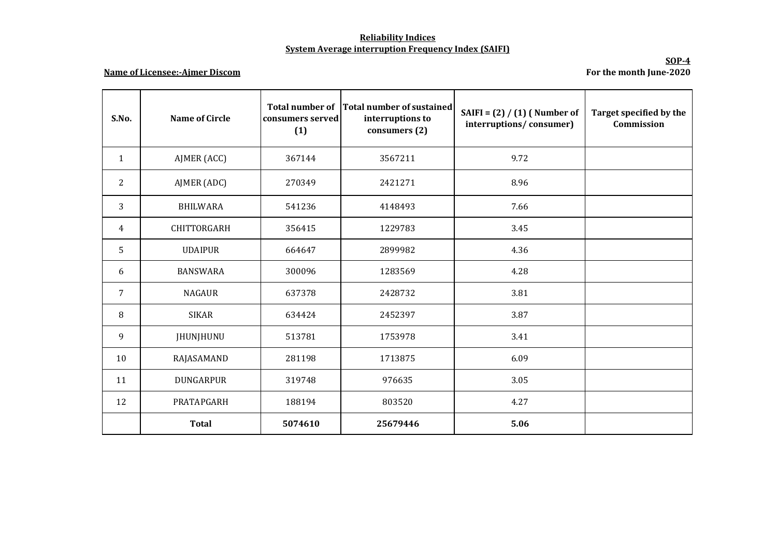## **Reliability Indices System Average interruption Frequency Index (SAIFI)**

## **Name of Licensee:-Ajmer Discom**

**SOP-4 For the month June-2020**

| S.No.          | Name of Circle     | <b>Total number of</b><br>consumers served<br>(1) | Total number of sustained<br>interruptions to<br>consumers (2) | SAIFI = $(2) / (1)$ (Number of<br>interruptions/consumer) | Target specified by the<br>Commission |
|----------------|--------------------|---------------------------------------------------|----------------------------------------------------------------|-----------------------------------------------------------|---------------------------------------|
| $\mathbf{1}$   | AJMER (ACC)        | 367144                                            | 3567211                                                        | 9.72                                                      |                                       |
| $\overline{c}$ | AJMER (ADC)        | 270349                                            | 2421271                                                        | 8.96                                                      |                                       |
| 3              | <b>BHILWARA</b>    | 541236                                            | 4148493                                                        | 7.66                                                      |                                       |
| $\overline{4}$ | <b>CHITTORGARH</b> | 356415                                            | 1229783                                                        | 3.45                                                      |                                       |
| $5\phantom{.}$ | <b>UDAIPUR</b>     | 664647                                            | 2899982                                                        | 4.36                                                      |                                       |
| 6              | <b>BANSWARA</b>    | 300096                                            | 1283569                                                        | 4.28                                                      |                                       |
| 7              | <b>NAGAUR</b>      | 637378                                            | 2428732                                                        | 3.81                                                      |                                       |
| 8              | <b>SIKAR</b>       | 634424                                            | 2452397                                                        | 3.87                                                      |                                       |
| 9              | JHUNJHUNU          | 513781                                            | 1753978                                                        | 3.41                                                      |                                       |
| 10             | RAJASAMAND         | 281198                                            | 1713875                                                        | 6.09                                                      |                                       |
| 11             | <b>DUNGARPUR</b>   | 319748                                            | 976635                                                         | 3.05                                                      |                                       |
| 12             | PRATAPGARH         | 188194                                            | 803520                                                         | 4.27                                                      |                                       |
|                | <b>Total</b>       | 5074610                                           | 25679446                                                       | 5.06                                                      |                                       |